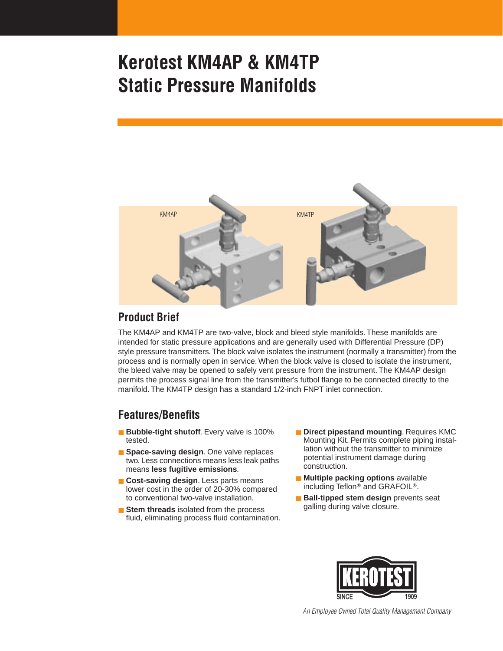

#### **Product Brief**

The KM4AP and KM4TP are two-valve, block and bleed style manifolds. These manifolds are intended for static pressure applications and are generally used with Differential Pressure (DP) style pressure transmitters. The block valve isolates the instrument (normally a transmitter) from the process and is normally open in service. When the block valve is closed to isolate the instrument, the bleed valve may be opened to safely vent pressure from the instrument. The KM4AP design permits the process signal line from the transmitter's futbol flange to be connected directly to the manifold. The KM4TP design has a standard 1/2-inch FNPT inlet connection.

#### **Features/Benefits**

- **Bubble-tight shutoff**. Every valve is 100% tested.
- **Space-saving design**. One valve replaces two. Less connections means less leak paths means **less fugitive emissions**.
- **Cost-saving design**. Less parts means lower cost in the order of 20-30% compared to conventional two-valve installation.
- **Stem threads** isolated from the process fluid, eliminating process fluid contamination.
- **Direct pipestand mounting. Requires KMC** Mounting Kit. Permits complete piping installation without the transmitter to minimize potential instrument damage during construction.
- **Multiple packing options** available including Teflon<sup>®</sup> and GRAFOIL<sup>®</sup>.
- **Ball-tipped stem design** prevents seat galling during valve closure.



*An Employee Owned Total Quality Management Company*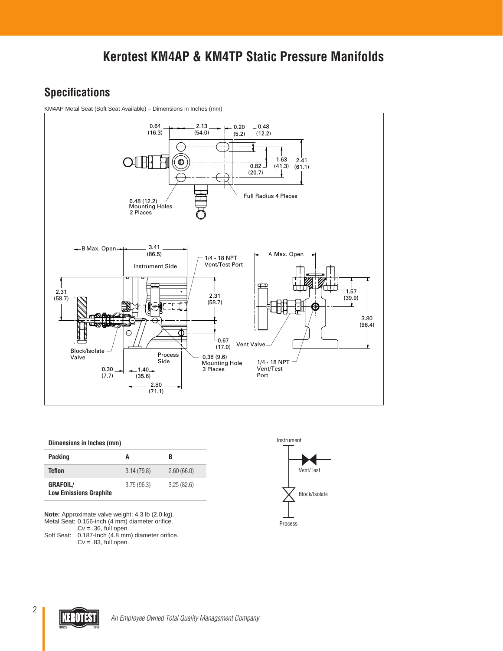# **Specifications**

KM4AP Metal Seat (Soft Seat Available) – Dimensions in Inches (mm)



#### **Dimensions in Inches (mm)**

| <b>Packing</b>                                   | A          | B          |
|--------------------------------------------------|------------|------------|
| Teflon                                           | 3.14(79.8) | 2.60(66.0) |
| <b>GRAFOIL/</b><br><b>Low Emissions Graphite</b> | 3.79(96.3) | 3.25(82.6) |

**Note:** Approximate valve weight: 4.3 lb (2.0 kg). Metal Seat: 0.156-inch (4 mm) diameter orifice.

 $Cv = .36$ , full open. Soft Seat: 0.187-Inch (4.8 mm) diameter orifice.  $Cv = .83$ , full open.



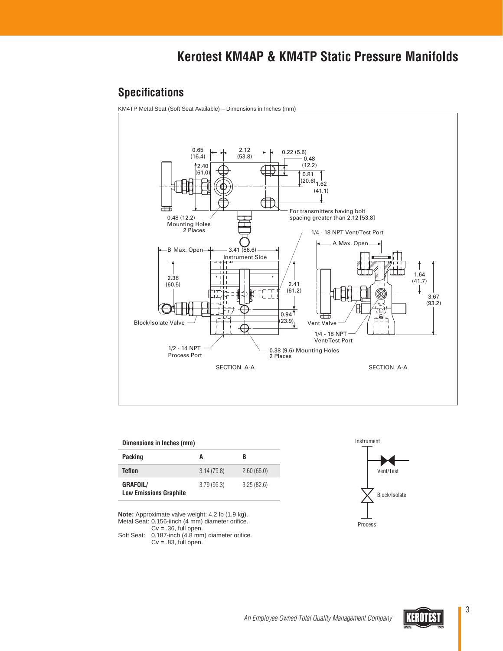### **Specifications**

KM4TP Metal Seat (Soft Seat Available) – Dimensions in Inches (mm)



#### **Dimensions in Inches (mm)**

| Packing                                          |            | B          |
|--------------------------------------------------|------------|------------|
| Teflon                                           | 3.14(79.8) | 2.60(66.0) |
| <b>GRAFOIL/</b><br><b>Low Emissions Graphite</b> | 3.79(96.3) | 3.25(82.6) |

**Note:** Approximate valve weight: 4.2 lb (1.9 kg). Metal Seat: 0.156-iinch (4 mm) diameter orifice.

 $Cv = .36$ , full open. Soft Seat: 0.187-inch (4.8 mm) diameter orifice.



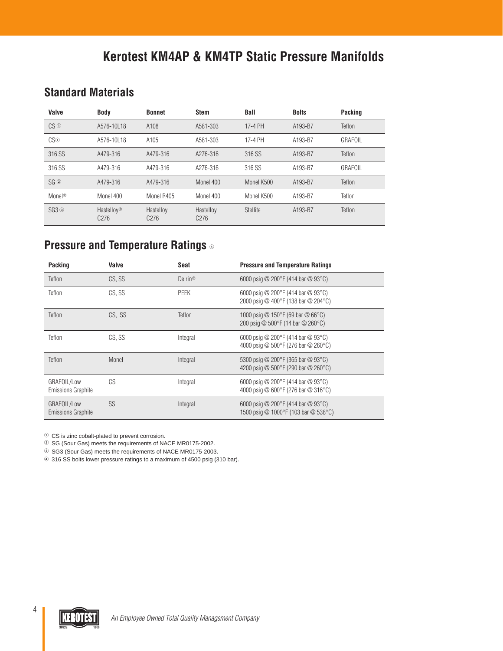# **Standard Materials**

| Valve              | <b>Body</b>                                | <b>Bonnet</b>                 | <b>Stem</b>                   | Ball       | <b>Bolts</b> | Packing |
|--------------------|--------------------------------------------|-------------------------------|-------------------------------|------------|--------------|---------|
| CS <sup>0</sup>    | A576-10L18                                 | A108                          | A581-303                      | 17-4 PH    | A193-B7      | Teflon  |
| CS <sup>0</sup>    | A576-10L18                                 | A105                          | A581-303                      | 17-4 PH    | A193-B7      | GRAFOIL |
| 316 SS             | A479-316                                   | A479-316                      | A276-316                      | 316 SS     | A193-B7      | Teflon  |
| 316 SS             | A479-316                                   | A479-316                      | A276-316                      | 316 SS     | A193-B7      | GRAFOIL |
| SG@                | A479-316                                   | A479-316                      | Monel 400                     | Monel K500 | A193-B7      | Teflon  |
| Monel <sup>®</sup> | Monel 400                                  | Monel R405                    | Monel 400                     | Monel K500 | A193-B7      | Teflon  |
| $SG3$ $\circ$      | Hastelloy <sup>®</sup><br>C <sub>276</sub> | Hastelloy<br>C <sub>276</sub> | Hastelloy<br>C <sub>276</sub> | Stellite   | A193-B7      | Teflon  |

# **Pressure and Temperature Ratings**

| <b>Packing</b>                           | Valve  | Seat                | <b>Pressure and Temperature Ratings</b>                                                     |
|------------------------------------------|--------|---------------------|---------------------------------------------------------------------------------------------|
| Teflon                                   | CS.SS  | Delrin <sup>®</sup> | 6000 psig @ 200 °F (414 bar @ 93 °C)                                                        |
| Teflon                                   | CS, SS | <b>PEEK</b>         | 6000 psig @ 200°F (414 bar @ 93°C)<br>2000 psig @ 400°F (138 bar @ 204°C)                   |
| Teflon                                   | CS. SS | Teflon              | 1000 psig @ 150°F (69 bar @ 66°C)<br>200 psig @ $500^{\circ}$ F (14 bar @ 260 $^{\circ}$ C) |
| Teflon                                   | CS, SS | Integral            | 6000 psig @ 200°F (414 bar @ 93°C)<br>4000 psig @ 500°F (276 bar @ 260°C)                   |
| Teflon                                   | Monel  | Integral            | 5300 psig @ 200°F (365 bar @ 93°C)<br>4200 psig @ 500°F (290 bar @ 260°C)                   |
| GRAFOIL/Low<br><b>Emissions Graphite</b> | CS     | Integral            | 6000 psig @ 200°F (414 bar @ 93°C)<br>4000 psig @ 600°F (276 bar @ 316°C)                   |
| GRAFOIL/Low<br><b>Emissions Graphite</b> | SS     | Integral            | 6000 psig @ 200 °F (414 bar @ 93 °C)<br>1500 psig @ 1000°F (103 bar @ 538°C)                |

 $\odot$  CS is zinc cobalt-plated to prevent corrosion.

<sup>2</sup> SG (Sour Gas) meets the requirements of NACE MR0175-2002.

<sup>3</sup> SG3 (Sour Gas) meets the requirements of NACE MR0175-2003.

316 SS bolts lower pressure ratings to a maximum of 4500 psig (310 bar).

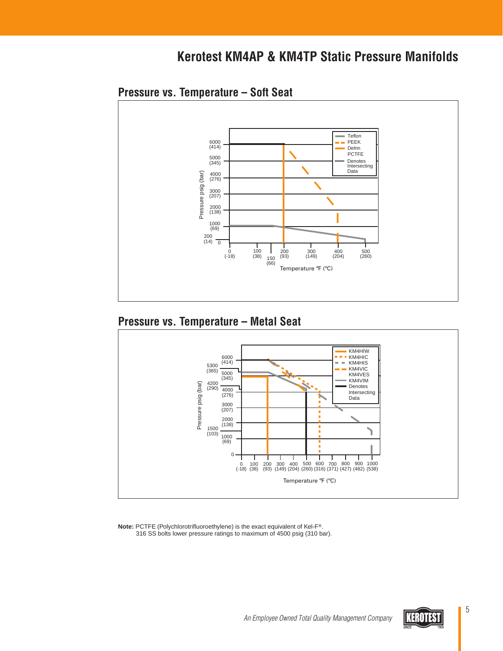

### **Pressure vs. Temperature – Soft Seat**

### **Pressure vs. Temperature – Metal Seat**



**Note: PCTFE (Polychlorotrifluoroethylene) is the exact equivalent of Kel-F®.** 316 SS bolts lower pressure ratings to maximum of 4500 psig (310 bar).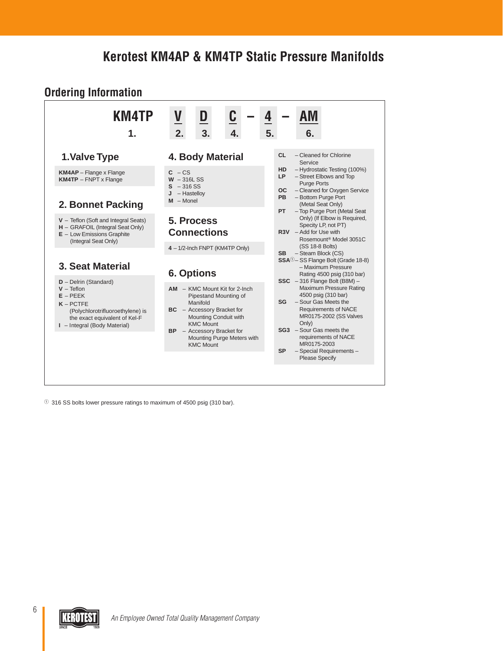#### **Ordering Information KM4TP V D C – 4 – AM 1. 2. 3. 4. 5. 6. 1.Valve Type KM4AP** – Flange x Flange **KM4TP** – FNPT x Flange **2. Bonnet Packing V** – Teflon (Soft and Integral Seats) **H** – GRAFOIL (Integral Seat Only) **E** – Low Emissions Graphite (Integral Seat Only) **3. Seat Material D** – Delrin (Standard) **V** – Teflon **E** – PEEK **K** – PCTFE (Polychlorotrifluoroethylene) is the exact equivalent of Kel-F **I** – Integral (Body Material) **4. Body Material**  $C - CS$ **W** – 316L SS **S** – 316 SS **J** – Hastelloy **M** – Monel **5. Process Connections 4** – 1/2-Inch FNPT (KM4TP Only) **6. Options AM** – KMC Mount Kit for 2-Inch Pipestand Mounting of Manifold **BC** – Accessory Bracket for Mounting Conduit with KMC Mount **BP** – Accessory Bracket for Mounting Purge Meters with KMC Mount **CL** – Cleaned for Chlorine Service **HD** – Hydrostatic Testing (100%) **LP** – Street Elbows and Top Purge Ports **OC** – Cleaned for Oxygen Service **PB** – Bottom Purge Port (Metal Seat Only) **PT** – Top Purge Port (Metal Seat Only) (If Elbow is Required, Specity LP, not PT) **R3V** – Add for Use with Rosemount<sup>®</sup> Model 3051C (SS 18-8 Bolts) **SB** – Steam Block (CS) **SSA**<sup>0</sup>- SS Flange Bolt (Grade 18-8) – Maximum Pressure Rating 4500 psig (310 bar) **SSC** – 316 Flange Bolt (B8M) – Maximum Pressure Rating 4500 psig (310 bar) **SG** – Sour Gas Meets the Requirements of NACE MR0175-2002 (SS Valves Only) **SG3** – Sour Gas meets the requirements of NACE MR0175-2003 **SP** – Special Requirements – Please Specify

- 316 SS bolts lower pressure ratings to maximum of 4500 psig (310 bar).